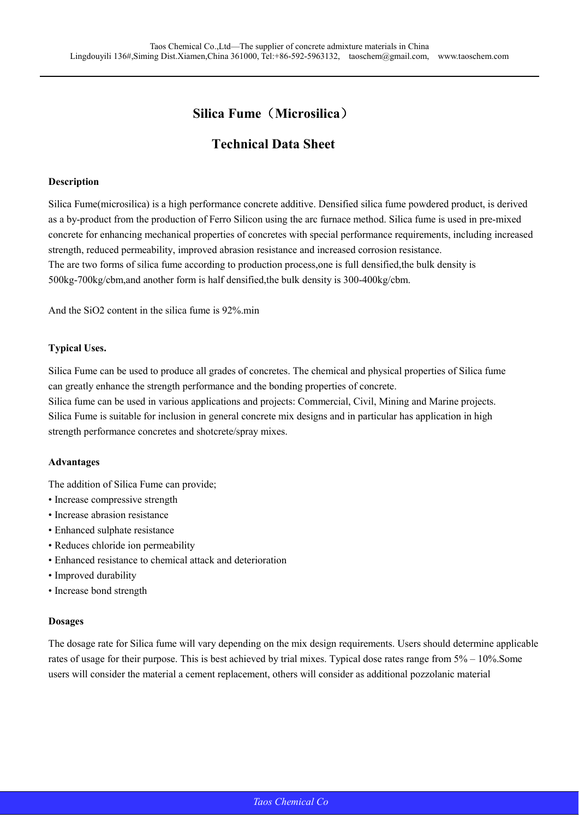# **Silica Fume**(**Microsilica**)

### **Technical Data Sheet**

#### **Description**

Silica Fume(microsilica) is a high performance concrete additive. Densified silica fume powdered product, is derived as a by-product from the production of Ferro Silicon using the arc furnace method. Silica fume is used in pre-mixed concrete for enhancing mechanical properties of concretes with special performance requirements, including increased strength, reduced permeability, improved abrasion resistance and increased corrosion resistance. The are two forms of silica fume according to production process,one is full densified,the bulk density is 500kg-700kg/cbm,and another form is half densified,the bulk density is 300-400kg/cbm.

And the SiO2 content in the silica fume is 92%.min

#### **Typical Uses.**

Silica Fume can be used to produce all grades of concretes. The chemical and physical properties of Silica fume can greatly enhance the strength performance and the bonding properties of concrete.

Silica fume can be used in various applications and projects: Commercial, Civil, Mining and Marine projects. Silica Fume is suitable for inclusion in general concrete mix designs and in particular has application in high strength performance concretes and shotcrete/spray mixes.

#### **Advantages**

The addition of Silica Fume can provide;

- Increase compressive strength
- Increase abrasion resistance
- Enhanced sulphate resistance
- Reduces chloride ion permeability
- Enhanced resistance to chemical attack and deterioration
- Improved durability
- Increase bond strength

#### **Dosages**

The dosage rate for Silica fume will vary depending on the mix design requirements. Users should determine applicable rates of usage for their purpose. This is best achieved by trial mixes. Typical dose rates range from 5% – 10%.Some users will consider the material a cement replacement, others will consider as additional pozzolanic material